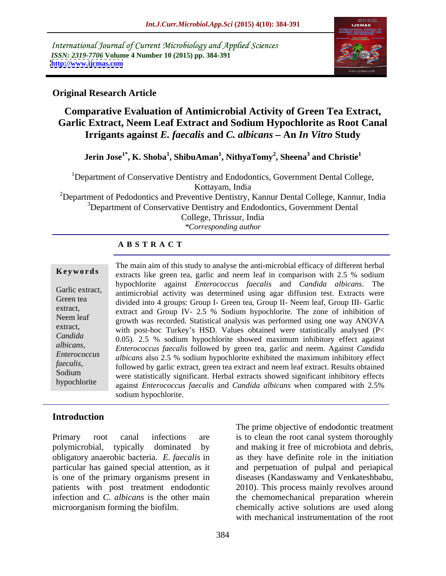International Journal of Current Microbiology and Applied Sciences *ISSN: 2319-7706* **Volume 4 Number 10 (2015) pp. 384-391 <http://www.ijcmas.com>**



## **Original Research Article**

# **Comparative Evaluation of Antimicrobial Activity of Green Tea Extract, Garlic Extract, Neem Leaf Extract and Sodium Hypochlorite as Root Canal Irrigants against** *E. faecalis* **and** *C. albicans* **An** *In Vitro* **Study**

#### **Jerin Jose1\* , K. Shoba<sup>1</sup> , ShibuAman<sup>1</sup> , NithyaTomy<sup>2</sup>**  $\mathbf s$ **, Sheena<sup>3</sup> and Christie** $^1$  **and Christie<sup>1</sup>**

<sup>1</sup>Department of Conservative Dentistry and Endodontics, Government Dental College, Kottayam, India

<sup>2</sup>Department of Pedodontics and Preventive Dentistry, Kannur Dental College, Kannur, India <sup>3</sup>Department of Conservative Dentistry and Endodontics, Government Dental

College, Thrissur, India

*\*Corresponding author*

#### **A B S T R A C T**

hypochlorite

The main aim of this study to analyse the anti-microbial efficacy of different herbal extracts like green tea, garlic and neem leaf in comparison with 2.5 % sodium **Ke ywo rds** hypochlorite against *Enterococcus faecalis* and *Candida albicans*. The Garlic extract, antimicrobial activity was determined using agar diffusion test. Extracts were Green tea divided into 4 groups: Group I- Green tea, Group II- Neem leaf, Group III- Garlic extract,<br>extract and Group IV- 2.5 % Sodium hypochlorite. The zone of inhibition of Neem leaf growth was recorded. Statistical analysis was performed using one way ANOVA extract, with post-hoc Turkey's HSD. Values obtained were statistically analysed  $(P<$ 0.05). 2.5 % sodium hypochlorite showed maximum inhibitory effect against *Candida Enterococcus faecalis* followed by green tea, garlic and neem. Against *Candida albicans, albicans* also 2.5 % sodium hypochlorite exhibited the maximum inhibitory effect *Enterococcus faecalis*,<br>
followed by garlic extract, green tea extract and neem leaf extract. Results obtained<br> *Sodium were* statistically significant. Herbal extracts showed significant inhibitory effects were statistically significant. Herbal extracts showed significant inhibitory effects against *Enterococcus faecalis* and *Candida albicans* when compared with 2.5% sodium hypochlorite.

### **Introduction**

patients with post treatment endodontic

Primary root canal infections are is to clean the root canal system thoroughly polymicrobial, typically dominated by and making it free of microbiota and debris, obligatory anaerobic bacteria. *E. faecalis* in as they have definite role in the initiation particular has gained special attention, as it and perpetuation of pulpal and periapical is one of the primary organisms present in diseases (Kandaswamy and Venkateshbabu, infection and *C. albicans* is the other main the chemomechanical preparation wherein microorganism forming the biofilm. chemically active solutions are used along The prime objective of endodontic treatment 2010). This process mainly revolves around with mechanical instrumentation of the root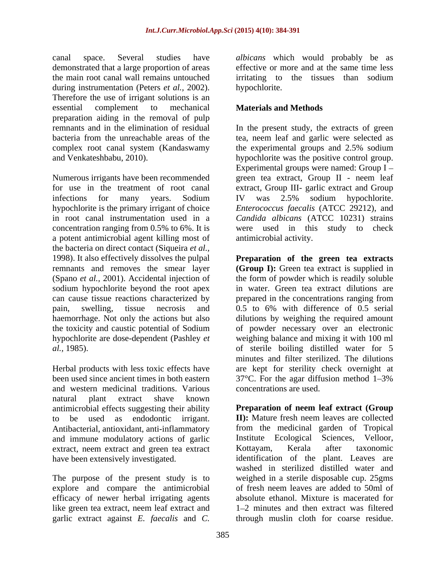canal space. Several studies have *albicans* which would probably be as demonstrated that a large proportion of areas the main root canal wall remains untouched during instrumentation (Peters *et al.,* 2002). Therefore the use of irrigant solutions is an essential complement to mechanical **Materials and Methods** preparation aiding in the removal of pulp<br>remnants and in the elimination of residual

Numerous irrigants have been recommended green tea extract, Group II - neem leaf for use in the treatment of root canal extract, Group III- garlic extract and Group infections for many years. Sodium IV was 2.5% sodium hypochlorite. hypochlorite is the primary irrigant of choice *Enterococcus faecalis* (ATCC 29212), and in root canal instrumentation used in a *Candida albicans* (ATCC 10231) strains concentration ranging from 0.5% to 6%. It is were used in this study to check a potent antimicrobial agent killing most of the bacteria on direct contact (Siqueira *et al.,* 1998). It also effectively dissolves the pulpal **Preparation of the green tea extracts** remnants and removes the smear layer **(Group I):** Green tea extract is supplied in (Spano *et al.,* 2001). Accidental injection of the form of powder which is readily soluble sodium hypochlorite beyond the root apex in water. Green tea extract dilutions are can cause tissue reactions characterized by prepared in the concentrations ranging from pain, swelling, tissue necrosis and 0.5 to 6% with difference of 0.5 serial haemorrhage. Not only the actions but also dilutions by weighing the required amount the toxicity and caustic potential of Sodium hypochlorite are dose-dependent (Pashley *et*  weighing balance and mixing it with 100 ml *al.,* 1985). of sterile boiling distilled water for 5

and western medicinal traditions. Various natural plant extract shave known antimicrobial effects suggesting their ability and immune modulatory actions of garlic limitative Ecological Sciences, Velloor, extract neem extract and green tea extract Kottayam, Kerala after taxonomic extract, neem extract and green tea extract Kottayam, Kerala after

The purpose of the present study is to explore and compare the antimicrobial efficacy of newer herbal irrigating agents like green tea extract, neem leaf extract and garlic extract against *E. faecalis* and *C.*  through muslin cloth for coarse residue.

effective or more and at the same time less irritating to the tissues than sodium hypochlorite.

### **Materials and Methods**

remnants and in the elimination of residual In the present study, the extracts of green bacteria from the unreachable areas of the tea, neem leaf and garlic were selected as complex root canal system (Kandaswamy the experimental groups and 2.5% sodium and Venkateshbabu, 2010). hypochlorite was the positive control group. Experimental groups were named: Group I IV was 2.5% sodium hypochlorite. antimicrobial activity.

Herbal products with less toxic effects have are kept for sterility check overnight at been used since ancient times in both eastern 37°C. For the agar diffusion method 1–3% 0.5 to 6% with difference of 0.5 serial of powder necessary over an electronic minutes and filter sterilized. The dilutions concentrations are used.

to be used as endodontic irrigant. **II):** Mature fresh neem leaves are collected Antibacterial, antioxidant, anti-inflammatory from the medicinal garden of Tropical have been extensively investigated. The identification of the plant. Leaves are **Preparation of neem leaf extract (Group** Institute Ecological Sciences, Kottayam, Kerala after taxonomic washed in sterilized distilled water and weighed in a sterile disposable cup. 25gms of fresh neem leaves are added to 50ml of absolute ethanol. Mixture is macerated for 1–2 minutes and then extract was filtered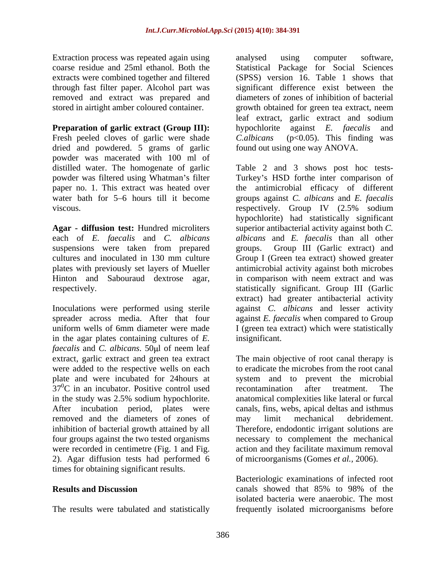Extraction process was repeated again using analysed using computer software, removed and extract was prepared and

#### **Preparation of garlic extract (Group III):** hypochlorite against *E. faecalis* and

Fresh peeled cloves of garlic were shade C.albicans dried and powdered. 5 grams of garlic powder was macerated with 100 ml of

suspensions were taken from prepared groups.

in the agar plates containing cultures of*E. faecalis* and *C. albicans*. 50 $\mu$ l of neem leaf extract, garlic extract and green tea extract were added to the respective wells on each plate and were incubated for 24hours at  $37^0$ C in an incubator. Positive control used recontamination after treatment. The in the study was 2.5% sodium hypochlorite. anatomical complexities like lateral or furcal After incubation period, plates were canals, fins, webs, apical deltas and isthmus removed and the diameters of zones of may limit mechanical debridement. inhibition of bacterial growth attained by all Therefore, endodontic irrigant solutions are four groups against the two tested organisms necessary to complement the mechanical were recorded in centimetre (Fig. 1 and Fig. action and they facilitate maximum removal 2). Agar diffusion tests had performed 6 times for obtaining significant results.

coarse residue and 25ml ethanol. Both the Statistical Package for Social Sciences extracts were combined together and filtered (SPSS) version 16. Table 1 shows that through fast filter paper. Alcohol part was significant difference exist between the stored in airtight amber coloured container. growth obtained for green tea extract, neem analysed using computer software, diameters of zones of inhibition of bacterial leaf extract, garlic extract and sodium hypochlorite against *E. faecalis* and  $(p<0.05)$ . This finding was found out using one way ANOVA.

distilled water. The homogenate of garlic Table 2 and 3 shows post hoc tests powder was filtered using Whatman's filter Turkey's HSD forthe inter comparison of paper no. 1. This extract was heated over the antimicrobial efficacy of different water bath for 5–6 hours till it become groups against *C. albicans* and *E. faecalis* viscous. respectively. Group IV (2.5% sodium **Agar - diffusion test:** Hundred microliters superior antibacterial activity against both *C.*  each of *E. faecalis* and *C. albicans albicans* and *E. faecalis* than all other cultures and inoculated in 130 mm culture Group I (Green tea extract) showed greater plates with previously set layers of Mueller antimicrobial activity against both microbes Hinton and Sabouraud dextrose agar, in comparison with neem extract and was respectively. statistically significant. Group III (Garlic Inoculations were performed using sterile against *C. albicans* and lesser activity spreader across media. After that four against *E. faecalis* when compared to Group uniform wells of 6mm diameter were made I (green tea extract) which were statistically hypochlorite) had statistically significant Group III (Garlic extract) and extract) had greater antibacterial activity insignificant.

> The main objective of root canal therapy is to eradicate the microbes from the root canal system and to prevent the microbial recontamination after treatment. The may limit mechanical debridement. action and they facilitate maximum removal of microorganisms (Gomes *et al.,* 2006).

**Results and Discussion Canally showed that 85% to 98% of the** The results were tabulated and statistically frequently isolated microorganisms beforeBacteriologic examinations of infected root canals showed that 85% to 98% of the isolated bacteria were anaerobic. The most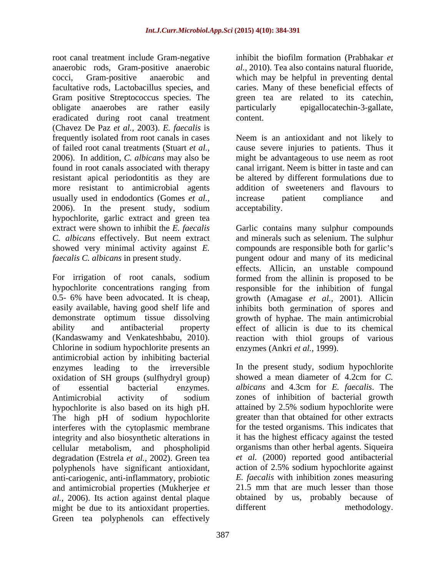root canal treatment include Gram-negative inhibit the biofilm formation (Prabhakar et anaerobic rods, Gram-positive anaerobic cocci, Gram-positive anaerobic and which may be helpful in preventing dental facultative rods, Lactobacillus species, and Gram positive Streptococcus species. The obligate anaerobes are rather easily eradicated during root canal treatment (Chavez De Paz *et al.,* 2003). *E. faecalis* is frequently isolated from root canals in cases Neem is an antioxidant and not likely to of failed root canal treatments (Stuart *et al.,* cause severe injuries to patients. Thus it 2006). In addition, *C. albicans* may also be might be advantageous to use neem as root found in root canals associated with therapy canal irrigant. Neem is bitter in taste and can resistant apical periodontitis as they are be altered by different formulations due to more resistant to antimicrobial agents usually used in endodontics (Gomes *et al.,* 2006). In the present study, sodium hypochlorite, garlic extract and green tea

Chlorine in sodium hypochlorite presents an antimicrobial action by inhibiting bacterial enzymes leading to the irreversible In the present study, sodium hypochlorite oxidation of SH groups (sulfhydryl group) showed a mean diameter of 4.2cm for C. of essential bacterial enzymes. *albicans* and 4.3cm for *E. faecalis*. The Antimicrobial activity of sodium hypochlorite is also based on its high pH. The high pH of sodium hypochlorite interferes with the cytoplasmic membrane integrity and also biosynthetic alterations in cellular metabolism, and phospholipid degradation (Estrela *et al.,* 2002). Green tea polyphenols have significant antioxidant, anti-cariogenic, anti-inflammatory, probiotic and antimicrobial properties (Mukherjee *et al.*, 2006). Its action against dental plaque obtained<br>might be due to its antioxidant properties. different might be due to its antioxidant properties. Green teating of the due to its antioxidant properties. Green teating of the different can effectively

inhibit the biofilm formation (Prabhakar *et al.,* 2010). Tea also contains natural fluoride, caries. Many of these beneficial effects of green tea are related to its catechin, particularly epigallocatechin-3-gallate, content.

addition of sweeteners and flavours to increase patient compliance and acceptability.

extract were shown to inhibit the *E. faecalis* Garlic contains many sulphur compounds *C. albicans* effectively. But neem extract and minerals such as selenium. The sulphur showed very minimal activity against *E*. compounds are responsible both for garlic's *faecalis C. albicans* in present study. pungent odour and many of its medicinal For irrigation of root canals, sodium formed from the allinin is proposed to be hypochlorite concentrations ranging from responsible for the inhibition of fungal 0.5- 6% have been advocated. It ischeap, growth (Amagase *et al.,* 2001). Allicin easily available, having good shelf life and inhibits both germination of spores and demonstrate optimum tissue dissolving growth of hyphae. The main antimicrobial ability and antibacterial property effect of allicin is due to its chemical (Kandaswamy and Venkateshbabu, 2010). reaction with thiol groups of various effects. Allicin, an unstable compound enzymes (Ankri *et al.,* 1999).

> showed a mean diameter of 4.2cm for *C.*  zones of inhibition of bacterial growth attained by 2.5% sodium hypochlorite were greater than that obtained for other extracts for the tested organisms. This indicates that it has the highest efficacy against the tested organisms than other herbal agents. Siqueira *et al.* (2000) reported good antibacterial action of 2.5% sodium hypochlorite against *E. faecalis* with inhibition zones measuring 21.5 mm that are much lesser than those obtained by us, probably because of methodology.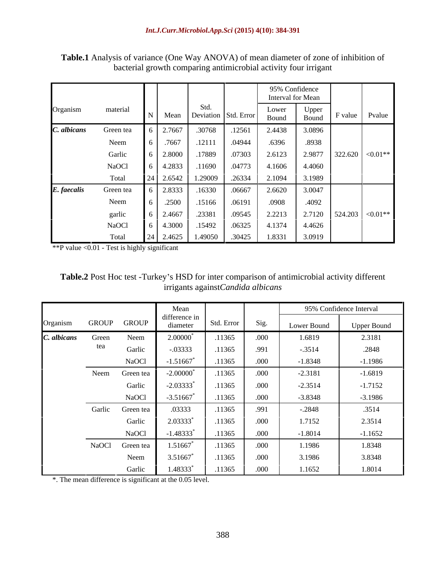|             |           |        |         |                           |                | 95% Confidence    |                                        |
|-------------|-----------|--------|---------|---------------------------|----------------|-------------------|----------------------------------------|
|             |           |        |         |                           |                | Interval for Mean |                                        |
| Organism    | material  |        | Std.    | Mean Deviation Std. Error | Lower<br>Bound | Upper<br>Bound    | F value Pvalue                         |
| C. albicans | Green tea | 2.7667 | .30768  | .12561                    | 2.4438         | 3.0896            |                                        |
|             | Neem      | .7667  | .12111  | .04944                    | .6396          | .8938             |                                        |
|             | Garlic    | 2.8000 | .17889  | .07303                    | 2.6123         | 2.9877            | $322.620$ < 0.01**                     |
|             | NaOCl     | 4.2833 | .11690  | .04773                    | 4.1606         | 4.4060            |                                        |
|             | Total     | 2.6542 | 1.29009 | .26334                    | 2.1094         | 3.1989            |                                        |
| E. faecalis | Green tea | 2.8333 | .16330  | .06667                    | 2.6620         | 3.0047            |                                        |
|             | Neem      | .2500  | .15166  | .06191                    | .0908          | .4092             |                                        |
|             | garlic    | 2.4667 | .23381  | .09545                    | 2.2213         |                   | 2.7120 $\Big  524.203 \Big  < 0.01$ ** |
|             | NaOCl     | 4.3000 | .15492  | .06325                    | 4.1374         | 4.4626            |                                        |
|             | Total     | 2.4625 |         | 1.49050 .30425            | 1.8331         | 3.0919            |                                        |

**Table.1** Analysis of variance (One Way ANOVA) of mean diameter of zone of inhibition of bacterial growth comparing antimicrobial activity four irrigant

\*\*P value <0.01 - Test is highly significant

| Table.2 Post Hoc test -Turkey's HSD for inter comparison of antimicrobial activity different |  |
|----------------------------------------------------------------------------------------------|--|
| againstCandida albicans<br>. rıgante                                                         |  |

|             |        |              | Mean                      |            |      |             | 95% Confidence Interval |
|-------------|--------|--------------|---------------------------|------------|------|-------------|-------------------------|
| Organism    | GROUP  | <b>GROUP</b> | difference in<br>diameter | Std. Error | Sig. | Lower Bound | <b>Upper Bound</b>      |
| C. albicans | Green  | Neem         | $2.00000$ <sup>*</sup>    | .11365     | .000 | 1.6819      | 2.3181                  |
|             | tea    | Garlic       | $-.03333$                 | .11365     | .991 | $-.3514$    | .2848                   |
|             |        | NaOCl        | $-1.51667$                | .11365     | .000 | $-1.8348$   | $-1.1986$               |
|             | Neem   | Green tea    | $-2.00000$ <sup>*</sup>   | .11365     | .000 | $-2.3181$   | $-1.6819$               |
|             |        | Garlic       | $-2.03333*$               | .11365     | .000 | $-2.3514$   | $-1.7152$               |
|             |        | NaOCl        | $-3.51667$ <sup>*</sup>   | .11365     | .000 | $-3.8348$   | $-3.1986$               |
|             | Garlic | Green tea    | .03333                    | .11365     | .991 | $-.2848$    | .3514                   |
|             |        | Garlic       | $2.03333*$                | .11365     | .000 | 1.7152      | 2.3514                  |
|             |        | NaOCl        | $-1.48333*$               | .11365     | .000 | $-1.8014$   | $-1.1652$               |
|             | NaOCl  | Green tea    | 1.51667*                  | .11365     | .000 | 1.1986      | 1.8348                  |
|             |        | Neem         | 3.51667                   | .11365     | .000 | 3.1986      | 3.8348                  |
|             |        | Garlic       | 1.48333*                  | .11365     | .000 | 1.1652      | 1.8014                  |

\*. The mean difference is significant at the 0.05 level.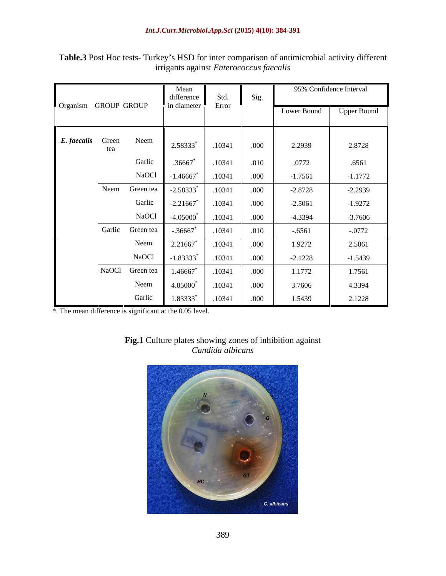|                      |              |                  | Mean<br>difference<br>in diameter | Std.   |       | 95% Confidence Interval |                    |
|----------------------|--------------|------------------|-----------------------------------|--------|-------|-------------------------|--------------------|
| Organism GROUP GROUP |              |                  |                                   | Error  |       | Lower Bound             | <b>Upper Bound</b> |
| E. faecalis          | Green<br>tea | Neem             | 2.58333*                          | .10341 | .000  | 2.2939                  | 2.8728             |
|                      |              | Garlic           | .36667                            | .10341 | .010  | .0772                   | .6561              |
|                      |              | NaOCl            | $-1.46667$ <sup>*</sup>           | .10341 | .000  | $-1.7561$               | $-1.1772$          |
|                      |              | Neem Green tea   | $-2.58333$ <sup>*</sup>           | .10341 | .000  | $-2.8728$               | $-2.2939$          |
|                      |              | Garlic           | $-2.21667$                        | .10341 | .000  | $-2.5061$               | $-1.9272$          |
|                      |              | NaOCl            | $-4.05000$ <sup>*</sup>           | .10341 | .000  | $-4.3394$               | $-3.7606$          |
|                      |              | Garlic Green tea | $-.36667$                         | .10341 | .010  | $-.6561$                | $-.0772$           |
|                      |              | Neem             | 2.21667                           | .10341 | .000  | 1.9272                  | 2.5061             |
|                      |              | NaOCl            | $-1.83333^*$                      | .10341 | .000  | $-2.1228$               | $-1.5439$          |
|                      |              | NaOCl Green tea  | 1.46667                           | .10341 | .000  | 1.1772                  | 1.7561             |
|                      |              | Neem             | 4.05000*                          | .10341 | .000  | 3.7606                  | 4.3394             |
|                      |              | Garlic           | 1.83333*                          | .10341 | .000. | 1.5439                  | 2.1228             |

## Table.3 Post Hoc tests- Turkey's HSD for inter comparison of antimicrobial activity different irrigants against *Enterococcus faecalis*

\*. The mean difference is significant at the 0.05 level.

# **Fig.1** Culture plates showing zones of inhibition against *Candida albicans*

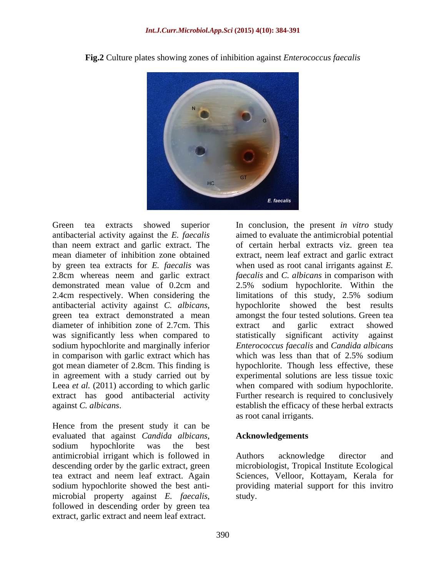

**Fig.2** Culture plates showing zones of inhibition against *Enterococcus faecalis*

diameter of inhibition zone of 2.7cm. This extract and garlic extract showed sodium hypochlorite and marginally inferior in comparison with garlic extract which has which was less than that of 2.5% sodium Leea *et al.* (2011) according to which garlic

evaluated that against *Candida albicans*, sodium hypochlorite was the best antimicrobial irrigant which is followed in sodium hypochlorite showed the best anti microbial property against *E. faecalis*, study.<br>followed in descending order by green tea extract, garlic extract and neem leaf extract.

Green tea extracts showed superior In conclusion, the present *in vitro* study antibacterial activity against the *E. faecalis* aimed to evaluate the antimicrobial potential than neem extract and garlic extract. The of certain herbal extracts viz. green tea mean diameter of inhibition zone obtained extract, neem leaf extract and garlic extract by green tea extracts for *E. faecalis* was when used as root canal irrigants against *E.*  2.8cm whereas neem and garlic extract *faecalis* and *C. albicans* in comparison with demonstrated mean value of 0.2cm and 2.5% sodium hypochlorite. Within the 2.4cm respectively. When considering the limitations of this study, 2.5% sodium antibacterial activity against *C. albicans*, bypochlorite showed the best results green tea extract demonstrated a mean amongst the four tested solutions. Green tea was significantly less when compared to statistically significant activity against got mean diameter of 2.8cm. This finding is hypochlorite. Though less effective, these in agreement with a study carried out by experimental solutionsare less tissue toxic extract has good antibacterial activity Further research is required to conclusively against *C. albicans*.<br>
Hence from the present study it can be<br>
Hence from the present study it can be hypochlorite showed the best results amongst the four tested solutions. Green tea extract and garlic extract showed *Enterococcus faecalis* and *Candida albicans* which was less than that of 2.5% sodium when compared with sodium hypochlorite. establish the efficacy of these herbal extracts as root canal irrigants.

#### **Acknowledgements**

descending order by the garlic extract, green microbiologist, Tropical Institute Ecological tea extract and neem leaf extract. Again Sciences, Velloor, Kottayam, Kerala for Authors acknowledge director and providing material support for this invitro study.